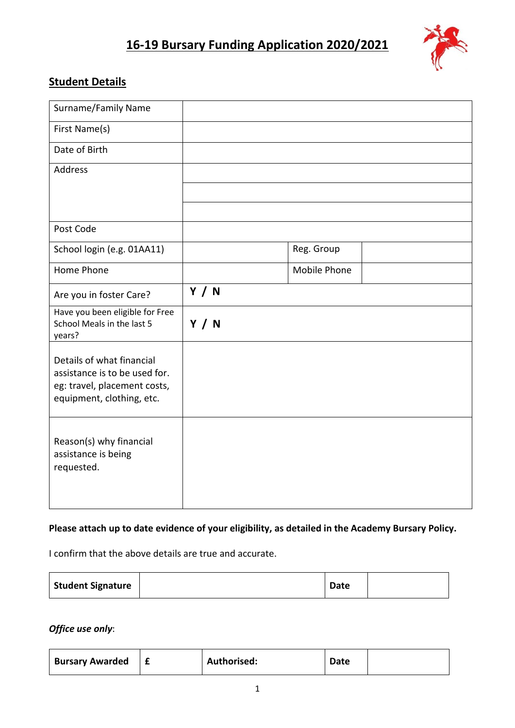# **16-19 Bursary Funding Application 2020/2021**



### **Student Details**

| Surname/Family Name                                                                                                     |              |              |  |
|-------------------------------------------------------------------------------------------------------------------------|--------------|--------------|--|
| First Name(s)                                                                                                           |              |              |  |
| Date of Birth                                                                                                           |              |              |  |
| Address                                                                                                                 |              |              |  |
|                                                                                                                         |              |              |  |
|                                                                                                                         |              |              |  |
| Post Code                                                                                                               |              |              |  |
| School login (e.g. 01AA11)                                                                                              |              | Reg. Group   |  |
| Home Phone                                                                                                              |              | Mobile Phone |  |
| Are you in foster Care?                                                                                                 | Y / N        |              |  |
| Have you been eligible for Free<br>School Meals in the last 5<br>years?                                                 | <b>Y</b> / N |              |  |
| Details of what financial<br>assistance is to be used for.<br>eg: travel, placement costs,<br>equipment, clothing, etc. |              |              |  |
| Reason(s) why financial<br>assistance is being<br>requested.                                                            |              |              |  |

#### **Please attach up to date evidence of your eligibility, as detailed in the Academy Bursary Policy.**

I confirm that the above details are true and accurate.

| <b>Student Signature</b> |  | <b>Date</b> |  |
|--------------------------|--|-------------|--|
|--------------------------|--|-------------|--|

*Office use only*:

| <b>Bursary Awarded</b> |  | Authorised: | <b>Date</b> |  |
|------------------------|--|-------------|-------------|--|
|------------------------|--|-------------|-------------|--|